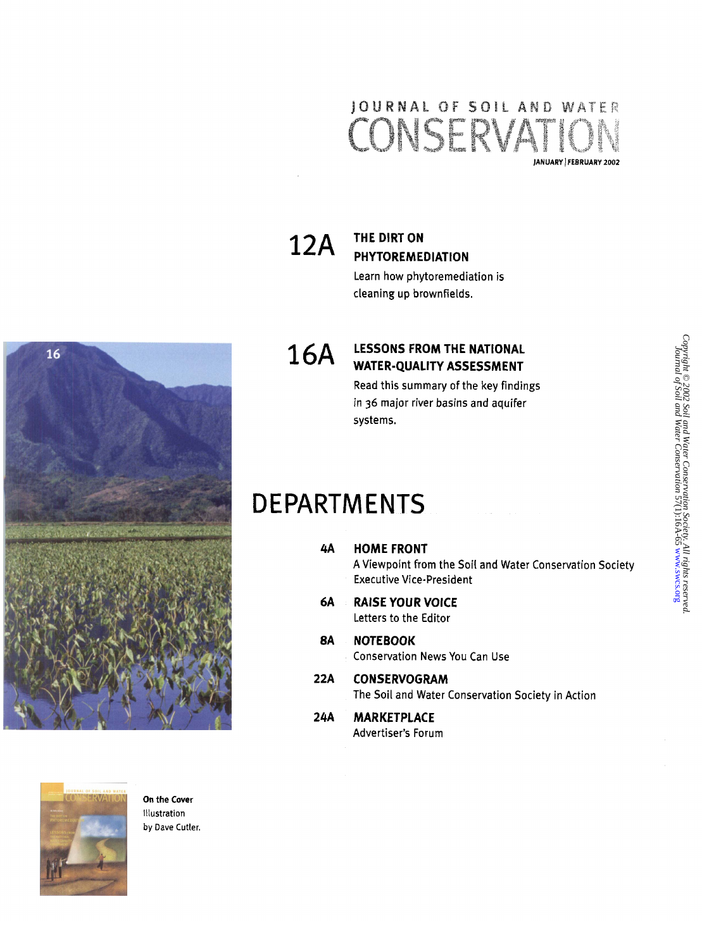#### JOURNAL OF SOIL AND WATER CONSERVATI **lANUARY** 1 **FEBRUARY 2002**

# **THE DIRT ON PHYTOREMEDIATION**

Learn how phytoremediation is cleaning up brownfields.

## **16A LESSONS FROM THE NATIONAL WATER-QUALITY ASSESSMENT**

Read this summary of the key findings in **36** major river basins and aquifer systems.

### DE PARTMENTS

- **4A HOMEFRONT**  A Viewpoint from the Soil and Water Conservation Society **Executive Vice-President**
- **6A RAISE YOUR VOICE**  Letters to the Editor
- *8A* **NOTEBOOK**  Conservation News You Can Use
- **22A CONSERVOGRAM**  The Soil and Water Conservation Society in Action
- Advertiser's Forum **24A MARKETPLACE**







**On the Cover**  Illustration **by Dave** Cutler.